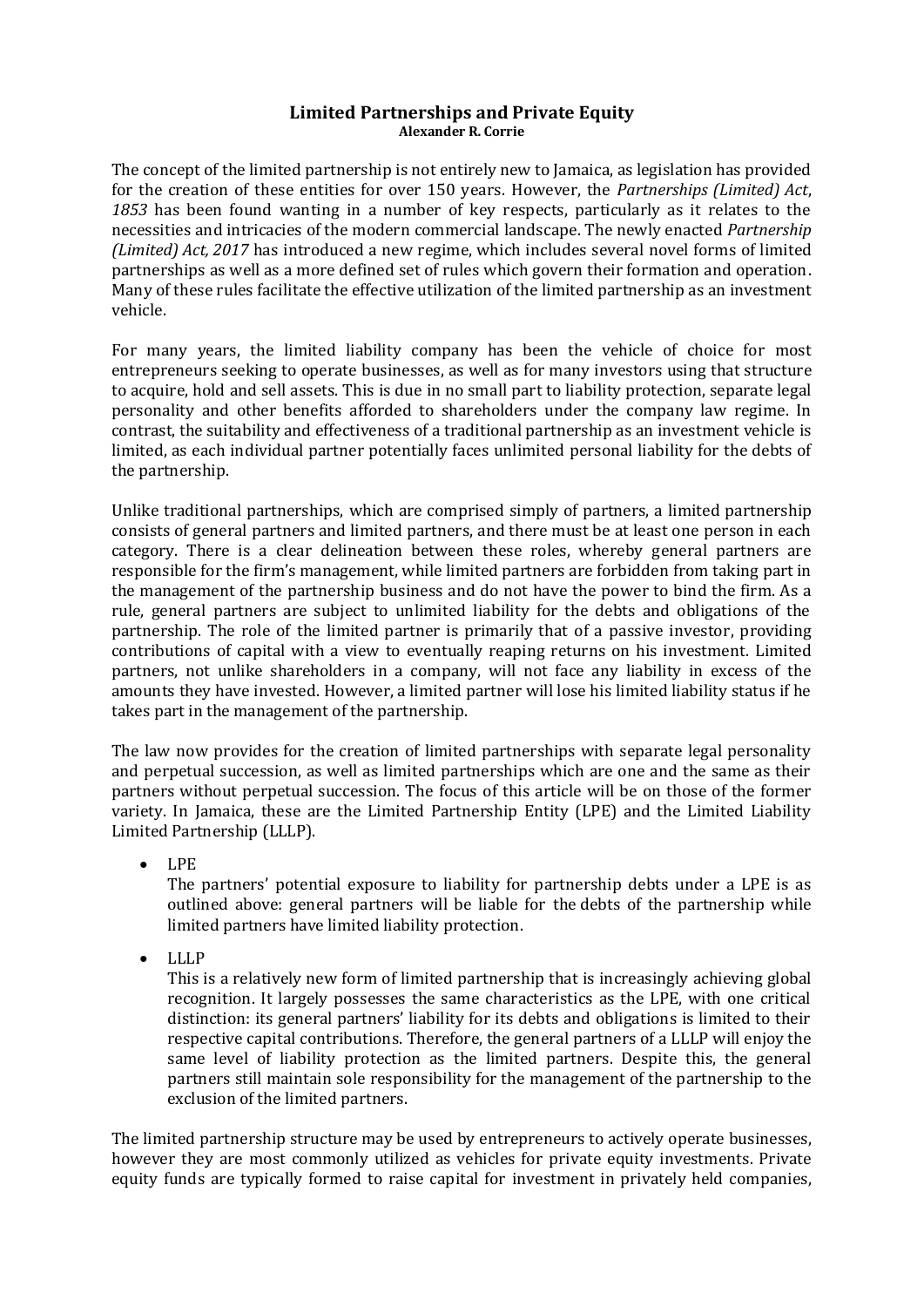## **Limited Partnerships and Private Equity Alexander R. Corrie**

The concept of the limited partnership is not entirely new to Jamaica, as legislation has provided for the creation of these entities for over 150 years. However, the *Partnerships (Limited) Act*, *1853* has been found wanting in a number of key respects, particularly as it relates to the necessities and intricacies of the modern commercial landscape. The newly enacted *Partnership (Limited) Act, 2017* has introduced a new regime, which includes several novel forms of limited partnerships as well as a more defined set of rules which govern their formation and operation. Many of these rules facilitate the effective utilization of the limited partnership as an investment vehicle.

For many years, the limited liability company has been the vehicle of choice for most entrepreneurs seeking to operate businesses, as well as for many investors using that structure to acquire, hold and sell assets. This is due in no small part to liability protection, separate legal personality and other benefits afforded to shareholders under the company law regime. In contrast, the suitability and effectiveness of a traditional partnership as an investment vehicle is limited, as each individual partner potentially faces unlimited personal liability for the debts of the partnership.

Unlike traditional partnerships, which are comprised simply of partners, a limited partnership consists of general partners and limited partners, and there must be at least one person in each category. There is a clear delineation between these roles, whereby general partners are responsible for the firm's management, while limited partners are forbidden from taking part in the management of the partnership business and do not have the power to bind the firm. As a rule, general partners are subject to unlimited liability for the debts and obligations of the partnership. The role of the limited partner is primarily that of a passive investor, providing contributions of capital with a view to eventually reaping returns on his investment. Limited partners, not unlike shareholders in a company, will not face any liability in excess of the amounts they have invested. However, a limited partner will lose his limited liability status if he takes part in the management of the partnership.

The law now provides for the creation of limited partnerships with separate legal personality and perpetual succession, as well as limited partnerships which are one and the same as their partners without perpetual succession. The focus of this article will be on those of the former variety. In Jamaica, these are the Limited Partnership Entity (LPE) and the Limited Liability Limited Partnership (LLLP).

LPE

The partners' potential exposure to liability for partnership debts under a LPE is as outlined above: general partners will be liable for the debts of the partnership while limited partners have limited liability protection.

LLLP

This is a relatively new form of limited partnership that is increasingly achieving global recognition. It largely possesses the same characteristics as the LPE, with one critical distinction: its general partners' liability for its debts and obligations is limited to their respective capital contributions. Therefore, the general partners of a LLLP will enjoy the same level of liability protection as the limited partners. Despite this, the general partners still maintain sole responsibility for the management of the partnership to the exclusion of the limited partners.

The limited partnership structure may be used by entrepreneurs to actively operate businesses, however they are most commonly utilized as vehicles for private equity investments. Private equity funds are typically formed to raise capital for investment in privately held companies,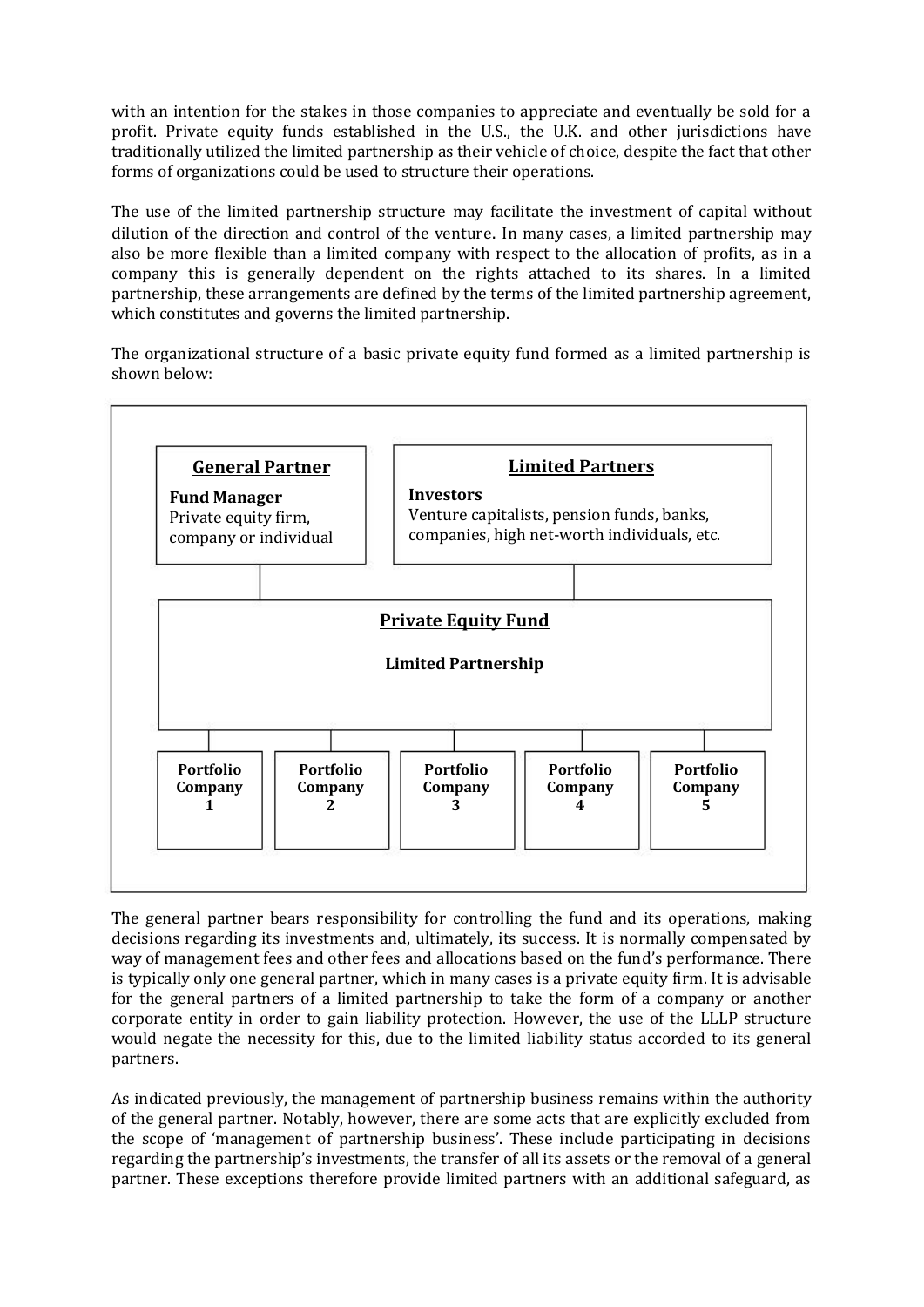with an intention for the stakes in those companies to appreciate and eventually be sold for a profit. Private equity funds established in the U.S., the U.K. and other jurisdictions have traditionally utilized the limited partnership as their vehicle of choice, despite the fact that other forms of organizations could be used to structure their operations.

The use of the limited partnership structure may facilitate the investment of capital without dilution of the direction and control of the venture. In many cases, a limited partnership may also be more flexible than a limited company with respect to the allocation of profits, as in a company this is generally dependent on the rights attached to its shares. In a limited partnership, these arrangements are defined by the terms of the limited partnership agreement, which constitutes and governs the limited partnership.

The organizational structure of a basic private equity fund formed as a limited partnership is shown below:



The general partner bears responsibility for controlling the fund and its operations, making decisions regarding its investments and, ultimately, its success. It is normally compensated by way of management fees and other fees and allocations based on the fund's performance. There is typically only one general partner, which in many cases is a private equity firm. It is advisable for the general partners of a limited partnership to take the form of a company or another corporate entity in order to gain liability protection. However, the use of the LLLP structure would negate the necessity for this, due to the limited liability status accorded to its general partners.

As indicated previously, the management of partnership business remains within the authority of the general partner. Notably, however, there are some acts that are explicitly excluded from the scope of 'management of partnership business'. These include participating in decisions regarding the partnership's investments, the transfer of all its assets or the removal of a general partner. These exceptions therefore provide limited partners with an additional safeguard, as